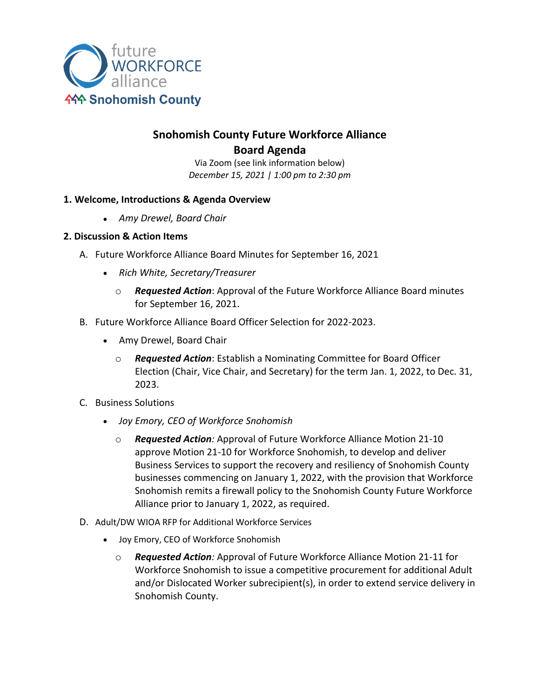

# **Snohomish County Future Workforce Alliance Board Agenda**

Via Zoom (see link information below) *December 15, 2021 | 1:00 pm to 2:30 pm*

## **1. Welcome, Introductions & Agenda Overview**

• *Amy Drewel, Board Chair*

## **2. Discussion & Action Items**

- A. Future Workforce Alliance Board Minutes for September 16, 2021
	- *Rich White, Secretary/Treasurer*
		- o *Requested Action*: Approval of the Future Workforce Alliance Board minutes for September 16, 2021.
- B. Future Workforce Alliance Board Officer Selection for 2022-2023.
	- Amy Drewel, Board Chair
		- o *Requested Action*: Establish a Nominating Committee for Board Officer Election (Chair, Vice Chair, and Secretary) for the term Jan. 1, 2022, to Dec. 31, 2023.
- C. Business Solutions
	- *Joy Emory, CEO of Workforce Snohomish*
		- o *Requested Action:* Approval of Future Workforce Alliance Motion 21-10 approve Motion 21-10 for Workforce Snohomish, to develop and deliver Business Services to support the recovery and resiliency of Snohomish County businesses commencing on January 1, 2022, with the provision that Workforce Snohomish remits a firewall policy to the Snohomish County Future Workforce Alliance prior to January 1, 2022, as required.
- D. Adult/DW WIOA RFP for Additional Workforce Services
	- Joy Emory, CEO of Workforce Snohomish
		- o *Requested Action:* Approval of Future Workforce Alliance Motion 21-11 for Workforce Snohomish to issue a competitive procurement for additional Adult and/or Dislocated Worker subrecipient(s), in order to extend service delivery in Snohomish County.